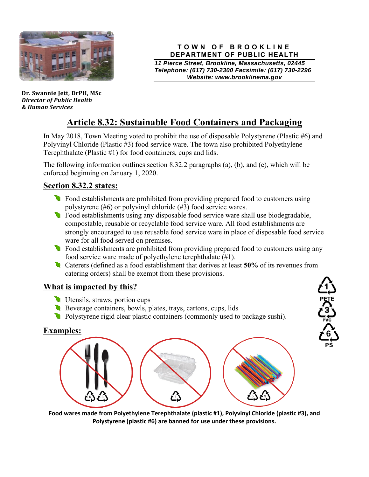

**Dr. Swannie Jett, DrPH, MSc** *Director of Public Health & Human Services*

#### **TOWN OF BROOKLINE DEPARTMENT OF PUBLIC HEALTH**

*11 Pierce Street, Brookline, Massachusetts, 02445 Telephone: (617) 730-2300 Facsimile: (617) 730-2296 Website: www.brooklinema.gov* 

**ここにつきてき** 

 $\frac{6}{6}$ 

# **Article 8.32: Sustainable Food Containers and Packaging**

In May 2018, Town Meeting voted to prohibit the use of disposable Polystyrene (Plastic #6) and Polyvinyl Chloride (Plastic #3) food service ware. The town also prohibited Polyethylene Terephthalate (Plastic #1) for food containers, cups and lids.

The following information outlines section 8.32.2 paragraphs (a), (b), and (e), which will be enforced beginning on January 1, 2020.

# **Section 8.32.2 states:**

- Food establishments are prohibited from providing prepared food to customers using polystyrene (#6) or polyvinyl chloride (#3) food service wares.
- **Food establishments using any disposable food service ware shall use biodegradable,** compostable, reusable or recyclable food service ware. All food establishments are strongly encouraged to use reusable food service ware in place of disposable food service ware for all food served on premises.
- Food establishments are prohibited from providing prepared food to customers using any food service ware made of polyethylene terephthalate (#1).
- Caterers (defined as a food establishment that derives at least **50%** of its revenues from catering orders) shall be exempt from these provisions.

# **What is impacted by this?**

- Utensils, straws, portion cups
- Beverage containers, bowls, plates, trays, cartons, cups, lids
- Polystyrene rigid clear plastic containers (commonly used to package sushi).

### **Examples:**



**Food wares made from Polyethylene Terephthalate (plastic #1), Polyvinyl Chloride (plastic #3), and Polystyrene (plastic #6) are banned for use under these provisions.**